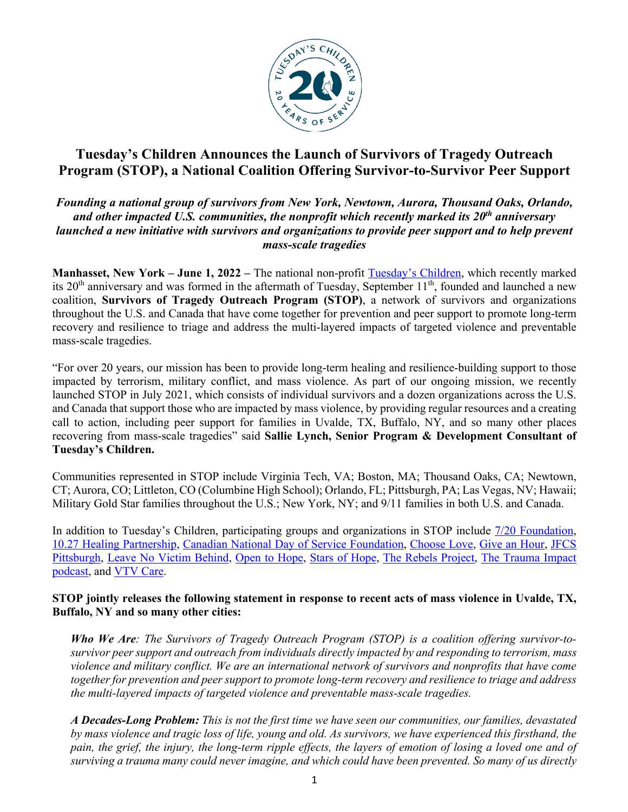

# **Tuesday's Children Announces the Launch of Survivors of Tragedy Outreach Program (STOP), a National Coalition Offering Survivor-to-Survivor Peer Support**

## *Founding a national group of survivors from New York, Newtown, Aurora, Thousand Oaks, Orlando, and other impacted U.S. communities, the nonprofit which recently marked its 20th anniversary launched a new initiative with survivors and organizations to provide peer support and to help prevent mass-scale tragedies*

**Manhasset, New York – June 1, 2022 –** The national non-profit Tuesday's Children, which recently marked its 20<sup>th</sup> anniversary and was formed in the aftermath of Tuesday, September 11<sup>th</sup>, founded and launched a new coalition, **Survivors of Tragedy Outreach Program (STOP)**, a network of survivors and organizations throughout the U.S. and Canada that have come together for prevention and peer support to promote long-term recovery and resilience to triage and address the multi-layered impacts of targeted violence and preventable mass-scale tragedies.

"For over 20 years, our mission has been to provide long-term healing and resilience-building support to those impacted by terrorism, military conflict, and mass violence. As part of our ongoing mission, we recently launched STOP in July 2021, which consists of individual survivors and a dozen organizations across the U.S. and Canada that support those who are impacted by mass violence, by providing regular resources and a creating call to action, including peer support for families in Uvalde, TX, Buffalo, NY, and so many other places recovering from mass-scale tragedies" said **Sallie Lynch, Senior Program & Development Consultant of Tuesday's Children.** 

Communities represented in STOP include Virginia Tech, VA; Boston, MA; Thousand Oaks, CA; Newtown, CT; Aurora, CO; Littleton, CO (Columbine High School); Orlando, FL; Pittsburgh, PA; Las Vegas, NV; Hawaii; Military Gold Star families throughout the U.S.; New York, NY; and 9/11 families in both U.S. and Canada.

In addition to Tuesday's Children, participating groups and organizations in STOP include 7/20 Foundation, 10.27 Healing Partnership, Canadian National Day of Service Foundation, Choose Love, Give an Hour, JFCS Pittsburgh, Leave No Victim Behind, Open to Hope, Stars of Hope, The Rebels Project, The Trauma Impact podcast, and VTV Care.

## **STOP jointly releases the following statement in response to recent acts of mass violence in Uvalde, TX, Buffalo, NY and so many other cities:**

*Who We Are: The Survivors of Tragedy Outreach Program (STOP) is a coalition offering survivor-tosurvivor peer support and outreach from individuals directly impacted by and responding to terrorism, mass violence and military conflict. We are an international network of survivors and nonprofits that have come together for prevention and peer support to promote long-term recovery and resilience to triage and address the multi-layered impacts of targeted violence and preventable mass-scale tragedies.*

*A Decades-Long Problem: This is not the first time we have seen our communities, our families, devastated by mass violence and tragic loss of life, young and old. As survivors, we have experienced this firsthand, the pain, the grief, the injury, the long-term ripple effects, the layers of emotion of losing a loved one and of surviving a trauma many could never imagine, and which could have been prevented. So many of us directly*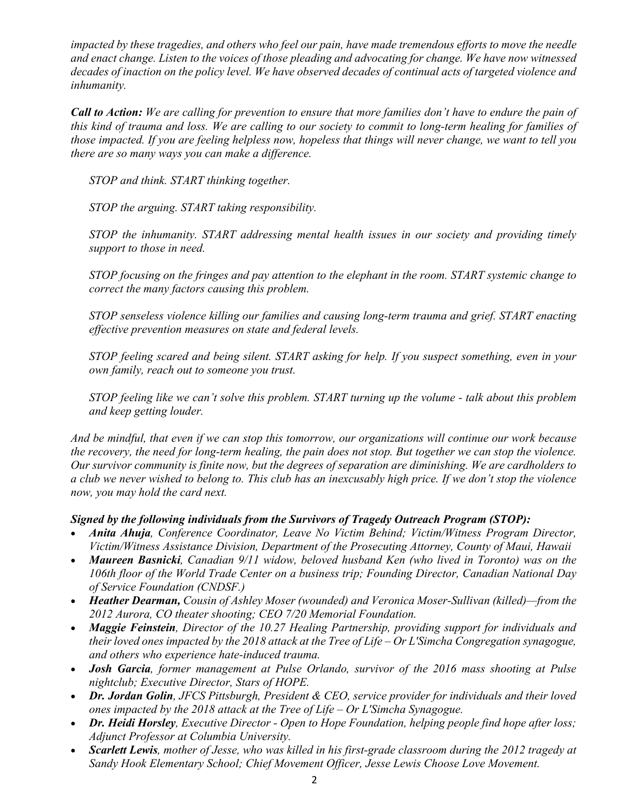*impacted by these tragedies, and others who feel our pain, have made tremendous efforts to move the needle and enact change. Listen to the voices of those pleading and advocating for change. We have now witnessed decades of inaction on the policy level. We have observed decades of continual acts of targeted violence and inhumanity.*

*Call to Action: We are calling for prevention to ensure that more families don't have to endure the pain of this kind of trauma and loss. We are calling to our society to commit to long-term healing for families of those impacted. If you are feeling helpless now, hopeless that things will never change, we want to tell you there are so many ways you can make a difference.*

*STOP and think. START thinking together.*

*STOP the arguing. START taking responsibility.*

*STOP the inhumanity. START addressing mental health issues in our society and providing timely support to those in need.*

*STOP focusing on the fringes and pay attention to the elephant in the room. START systemic change to correct the many factors causing this problem.*

*STOP senseless violence killing our families and causing long-term trauma and grief. START enacting effective prevention measures on state and federal levels.*

*STOP feeling scared and being silent. START asking for help. If you suspect something, even in your own family, reach out to someone you trust.*

*STOP feeling like we can't solve this problem. START turning up the volume - talk about this problem and keep getting louder.*

*And be mindful, that even if we can stop this tomorrow, our organizations will continue our work because the recovery, the need for long-term healing, the pain does not stop. But together we can stop the violence. Our survivor community is finite now, but the degrees of separation are diminishing. We are cardholders to a club we never wished to belong to. This club has an inexcusably high price. If we don't stop the violence now, you may hold the card next.*

#### *Signed by the following individuals from the Survivors of Tragedy Outreach Program (STOP):*

- *Anita Ahuja, Conference Coordinator, Leave No Victim Behind; Victim/Witness Program Director, Victim/Witness Assistance Division, Department of the Prosecuting Attorney, County of Maui, Hawaii*
- *Maureen Basnicki, Canadian 9/11 widow, beloved husband Ken (who lived in Toronto) was on the 106th floor of the World Trade Center on a business trip; Founding Director, Canadian National Day of Service Foundation (CNDSF.)*
- *Heather Dearman, Cousin of Ashley Moser (wounded) and Veronica Moser-Sullivan (killed)—from the 2012 Aurora, CO theater shooting; CEO 7/20 Memorial Foundation.*
- *Maggie Feinstein, Director of the 10.27 Healing Partnership, providing support for individuals and their loved ones impacted by the 2018 attack at the Tree of Life – Or L'Simcha Congregation synagogue, and others who experience hate-induced trauma.*
- *Josh Garcia, former management at Pulse Orlando, survivor of the 2016 mass shooting at Pulse nightclub; Executive Director, Stars of HOPE.*
- *Dr. Jordan Golin, JFCS Pittsburgh, President & CEO, service provider for individuals and their loved ones impacted by the 2018 attack at the Tree of Life – Or L'Simcha Synagogue.*
- *Dr. Heidi Horsley, Executive Director - Open to Hope Foundation, helping people find hope after loss; Adjunct Professor at Columbia University.*
- *Scarlett Lewis, mother of Jesse, who was killed in his first-grade classroom during the 2012 tragedy at Sandy Hook Elementary School; Chief Movement Officer, Jesse Lewis Choose Love Movement.*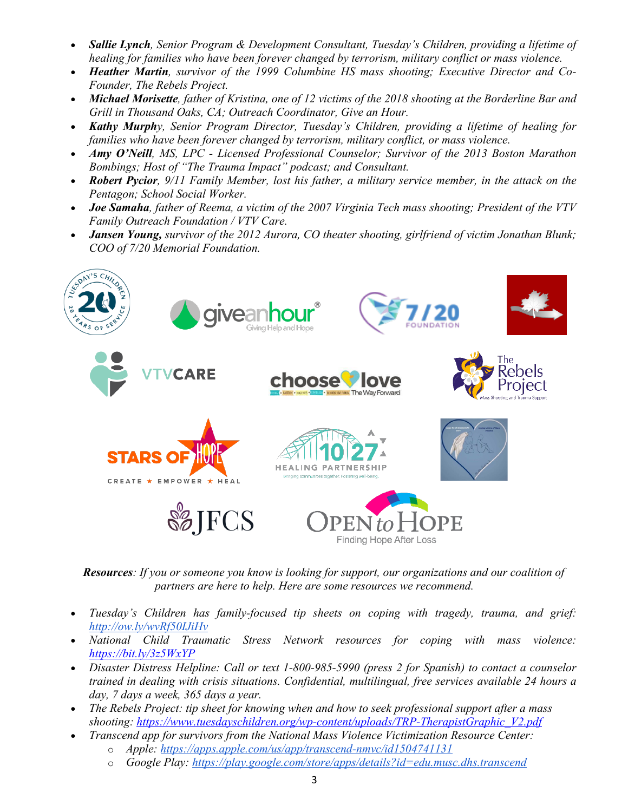- *Sallie Lynch, Senior Program & Development Consultant, Tuesday's Children, providing a lifetime of healing for families who have been forever changed by terrorism, military conflict or mass violence.*
- *Heather Martin, survivor of the 1999 Columbine HS mass shooting; Executive Director and Co-Founder, The Rebels Project.*
- *Michael Morisette, father of Kristina, one of 12 victims of the 2018 shooting at the Borderline Bar and Grill in Thousand Oaks, CA; Outreach Coordinator, Give an Hour.*
- *Kathy Murphy, Senior Program Director, Tuesday's Children, providing a lifetime of healing for families who have been forever changed by terrorism, military conflict, or mass violence.*
- *Amy O'Neill, MS, LPC - Licensed Professional Counselor; Survivor of the 2013 Boston Marathon Bombings; Host of "The Trauma Impact" podcast; and Consultant.*
- *Robert Pycior, 9/11 Family Member, lost his father, a military service member, in the attack on the Pentagon; School Social Worker.*
- *Joe Samaha, father of Reema, a victim of the 2007 Virginia Tech mass shooting; President of the VTV Family Outreach Foundation / VTV Care.*
- *Jansen Young, survivor of the 2012 Aurora, CO theater shooting, girlfriend of victim Jonathan Blunk; COO of 7/20 Memorial Foundation.*



*Resources: If you or someone you know is looking for support, our organizations and our coalition of partners are here to help. Here are some resources we recommend.*

- *Tuesday's Children has family-focused tip sheets on coping with tragedy, trauma, and grief: http://ow.ly/wvRf50IJiHv*
- *National Child Traumatic Stress Network resources for coping with mass violence: https://bit.ly/3z5WxYP*
- *Disaster Distress Helpline: Call or text 1-800-985-5990 (press 2 for Spanish) to contact a counselor trained in dealing with crisis situations. Confidential, multilingual, free services available 24 hours a day, 7 days a week, 365 days a year.*
- *The Rebels Project: tip sheet for knowing when and how to seek professional support after a mass shooting: https://www.tuesdayschildren.org/wp-content/uploads/TRP-TherapistGraphic\_V2.pdf*
- *Transcend app for survivors from the National Mass Violence Victimization Resource Center:*
	- o *Apple: https://apps.apple.com/us/app/transcend-nmvc/id1504741131*
	- o *Google Play: https://play.google.com/store/apps/details?id=edu.musc.dhs.transcend*